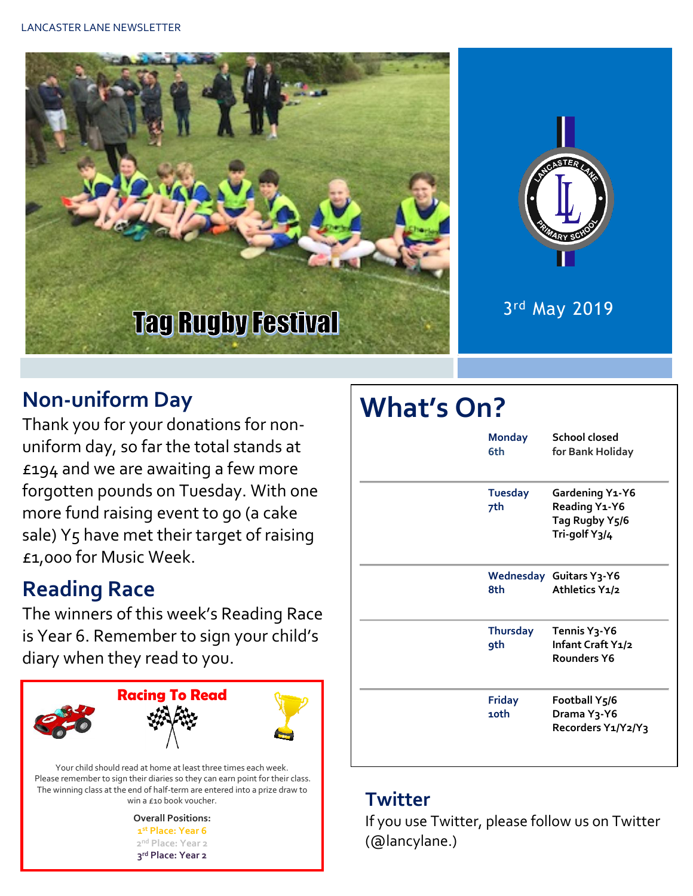



3 rd May 2019

### **Non-uniform Day**

Thank you for your donations for nonuniform day, so far the total stands at £194 and we are awaiting a few more forgotten pounds on Tuesday. With one more fund raising event to go (a cake sale) Y5 have met their target of raising £1,000 for Music Week.

## **Reading Race**

The winners of this week's Reading Race is Year 6. Remember to sign your child's diary when they read to you.



Please remember to sign their diaries so they can earn point for their class. The winning class at the end of half-term are entered into a prize draw to win a £10 book voucher.

> **Overall Positions: st Place: Year 6 nd Place: Year 2 rd Place: Year 2**

# **What's On?**

| <b>Monday</b><br>6th          | School closed<br>for Bank Holiday                                            |
|-------------------------------|------------------------------------------------------------------------------|
| <b>Tuesday</b><br>7th         | Gardening Y1-Y6<br>Reading Y1-Y6<br>Tag Rugby Y5/6<br>Tri-golf Y3/4          |
| 8th                           | <b>Wednesday Guitars Y3-Y6</b><br>Athletics Y1/2                             |
| <b>Thursday</b><br><b>9th</b> | Tennis Y <sub>3</sub> -Y6<br>Infant Craft Y1/2<br>Rounders Y6                |
| <b>Friday</b><br>10th         | Football Y <sub>5</sub> /6<br>Drama Y <sub>3</sub> -Y6<br>Recorders Y1/Y2/Y3 |

#### **Twitter**

If you use Twitter, please follow us on Twitter (@lancylane.)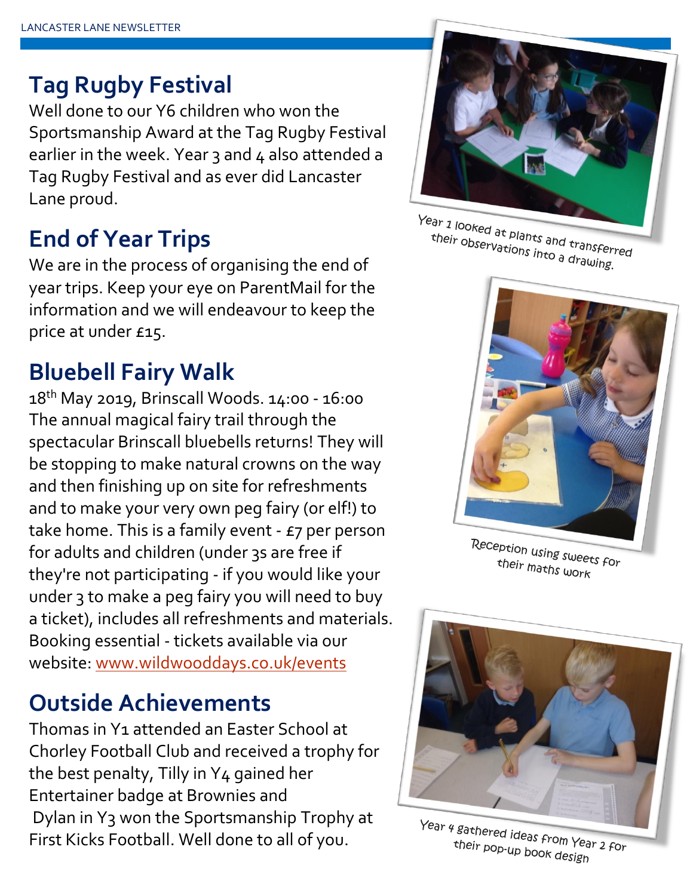## **Tag Rugby Festival**

Well done to our Y6 children who won the Sportsmanship Award at the Tag Rugby Festival earlier in the week. Year 3 and 4 also attended a Tag Rugby Festival and as ever did Lancaster Lane proud.

## **End of Year Trips**

We are in the process of organising the end of year trips. Keep your eye on ParentMail for the information and we will endeavour to keep the price at under £15.

## **Bluebell Fairy Walk**

18th May 2019, Brinscall Woods. 14:00 - 16:00 The annual magical fairy trail through the spectacular Brinscall bluebells returns! They will be stopping to make natural crowns on the way and then finishing up on site for refreshments and to make your very own peg fairy (or elf!) to take home. This is a family event  $-$  £7 per person for adults and children (under 3s are free if they're not participating - if you would like your under 3 to make a peg fairy you will need to buy a ticket), includes all refreshments and materials. Booking essential - tickets available via our website: [www.wildwooddays.co.uk/events](http://www.wildwooddays.co.uk/events)

## **Outside Achievements**

Thomas in Y1 attended an Easter School at Chorley Football Club and received a trophy for the best penalty, Tilly in Y4 gained her Entertainer badge at Brownies and Dylan in Y3 won the Sportsmanship Trophy at First Kicks Football. Well done to all of you.



Year 1 looked at plants and transferred<br>their observations into a drauging their observations into a dransfer.<br>their observations into a drawing.



Reception using sweets for their maths work



Year 4 gathered ideas from Year 2 for<br>their pop-up book dosing their pop-up book design